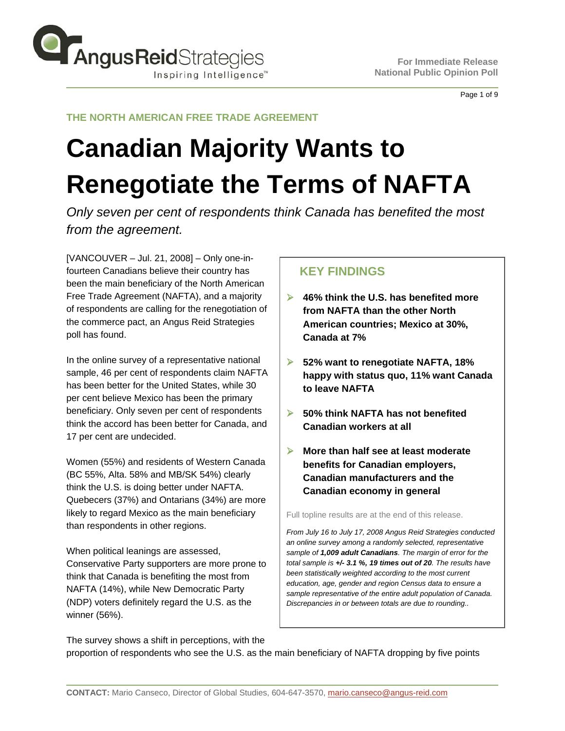

Page 1 of 9

## **THE NORTH AMERICAN FREE TRADE AGREEMENT**

# **Canadian Majority Wants to Renegotiate the Terms of NAFTA**

*Only seven per cent of respondents think Canada has benefited the most from the agreement.*

[VANCOUVER – Jul. 21, 2008] – Only one-infourteen Canadians believe their country has been the main beneficiary of the North American Free Trade Agreement (NAFTA), and a majority of respondents are calling for the renegotiation of the commerce pact, an Angus Reid Strategies poll has found.

In the online survey of a representative national sample, 46 per cent of respondents claim NAFTA has been better for the United States, while 30 per cent believe Mexico has been the primary beneficiary. Only seven per cent of respondents think the accord has been better for Canada, and 17 per cent are undecided.

Women (55%) and residents of Western Canada (BC 55%, Alta. 58% and MB/SK 54%) clearly think the U.S. is doing better under NAFTA. Quebecers (37%) and Ontarians (34%) are more likely to regard Mexico as the main beneficiary than respondents in other regions.

When political leanings are assessed, Conservative Party supporters are more prone to think that Canada is benefiting the most from NAFTA (14%), while New Democratic Party (NDP) voters definitely regard the U.S. as the winner (56%).

# **KEY FINDINGS**

- ¾ **46% think the U.S. has benefited more from NAFTA than the other North American countries; Mexico at 30%, Canada at 7%**
- ¾ **52% want to renegotiate NAFTA, 18% happy with status quo, 11% want Canada to leave NAFTA**
- ¾ **50% think NAFTA has not benefited Canadian workers at all**
- ¾ **More than half see at least moderate benefits for Canadian employers, Canadian manufacturers and the Canadian economy in general**

Full topline results are at the end of this release.

*From July 16 to July 17, 2008 Angus Reid Strategies conducted an online survey among a randomly selected, representative sample of 1,009 adult Canadians. The margin of error for the total sample is +/- 3.1 %, 19 times out of 20. The results have been statistically weighted according to the most current education, age, gender and region Census data to ensure a sample representative of the entire adult population of Canada. Discrepancies in or between totals are due to rounding..*

The survey shows a shift in perceptions, with the proportion of respondents who see the U.S. as the main beneficiary of NAFTA dropping by five points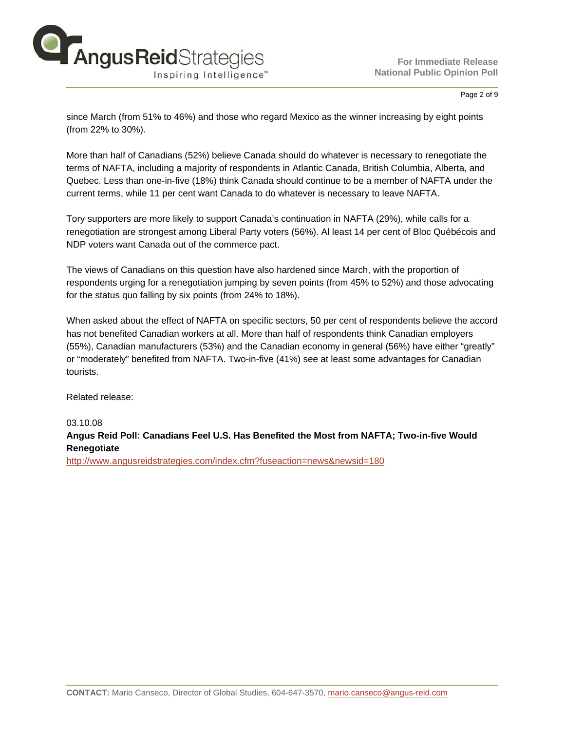

#### Page 2 of 9

since March (from 51% to 46%) and those who regard Mexico as the winner increasing by eight points (from 22% to 30%).

More than half of Canadians (52%) believe Canada should do whatever is necessary to renegotiate the terms of NAFTA, including a majority of respondents in Atlantic Canada, British Columbia, Alberta, and Quebec. Less than one-in-five (18%) think Canada should continue to be a member of NAFTA under the current terms, while 11 per cent want Canada to do whatever is necessary to leave NAFTA.

Tory supporters are more likely to support Canada's continuation in NAFTA (29%), while calls for a renegotiation are strongest among Liberal Party voters (56%). Al least 14 per cent of Bloc Québécois and NDP voters want Canada out of the commerce pact.

The views of Canadians on this question have also hardened since March, with the proportion of respondents urging for a renegotiation jumping by seven points (from 45% to 52%) and those advocating for the status quo falling by six points (from 24% to 18%).

When asked about the effect of NAFTA on specific sectors, 50 per cent of respondents believe the accord has not benefited Canadian workers at all. More than half of respondents think Canadian employers (55%), Canadian manufacturers (53%) and the Canadian economy in general (56%) have either "greatly" or "moderately" benefited from NAFTA. Two-in-five (41%) see at least some advantages for Canadian tourists.

Related release:

03.10.08

**Angus Reid Poll: Canadians Feel U.S. Has Benefited the Most from NAFTA; Two-in-five Would Renegotiate** 

<http://www.angusreidstrategies.com/index.cfm?fuseaction=news&newsid=180>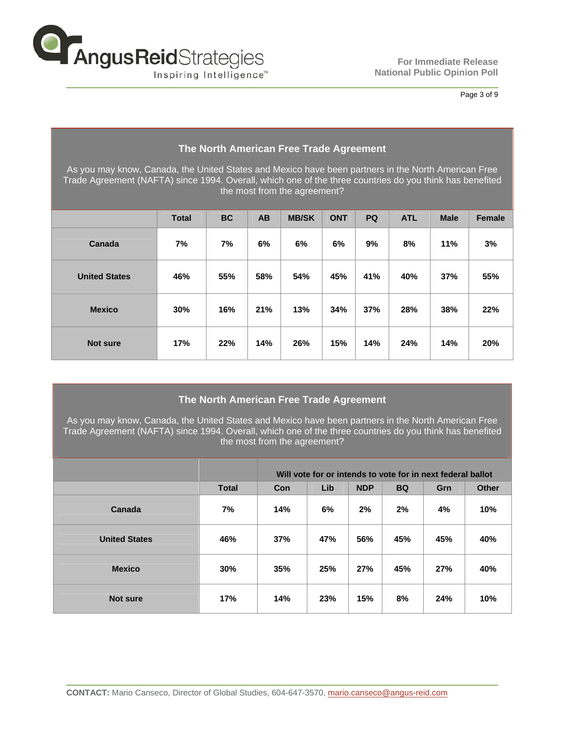

Page 3 of 9

| The North American Free Trade Agreement                                                                                                                                                                                                         |              |           |     |              |            |           |            |             |               |
|-------------------------------------------------------------------------------------------------------------------------------------------------------------------------------------------------------------------------------------------------|--------------|-----------|-----|--------------|------------|-----------|------------|-------------|---------------|
| As you may know, Canada, the United States and Mexico have been partners in the North American Free<br>Trade Agreement (NAFTA) since 1994. Overall, which one of the three countries do you think has benefited<br>the most from the agreement? |              |           |     |              |            |           |            |             |               |
|                                                                                                                                                                                                                                                 | <b>Total</b> | <b>BC</b> | AB  | <b>MB/SK</b> | <b>ONT</b> | <b>PQ</b> | <b>ATL</b> | <b>Male</b> | <b>Female</b> |
| Canada                                                                                                                                                                                                                                          | 7%           | 7%        | 6%  | 6%           | 6%         | 9%        | 8%         | 11%         | 3%            |
| <b>United States</b>                                                                                                                                                                                                                            | 46%          | 55%       | 58% | 54%          | 45%        | 41%       | 40%        | 37%         | 55%           |
| <b>Mexico</b>                                                                                                                                                                                                                                   | 30%          | 16%       | 21% | 13%          | 34%        | 37%       | 28%        | 38%         | 22%           |
| <b>Not sure</b>                                                                                                                                                                                                                                 | 17%          | 22%       | 14% | 26%          | 15%        | 14%       | 24%        | 14%         | 20%           |

## **The North American Free Trade Agreement**

As you may know, Canada, the United States and Mexico have been partners in the North American Free Trade Agreement (NAFTA) since 1994. Overall, which one of the three countries do you think has benefited the most from the agreement?

|                      |              | Will vote for or intends to vote for in next federal ballot |     |            |           |     |              |
|----------------------|--------------|-------------------------------------------------------------|-----|------------|-----------|-----|--------------|
|                      | <b>Total</b> | Con                                                         | Lib | <b>NDP</b> | <b>BQ</b> | Grn | <b>Other</b> |
| Canada               | 7%           | 14%                                                         | 6%  | 2%         | 2%        | 4%  | 10%          |
| <b>United States</b> | 46%          | 37%                                                         | 47% | 56%        | 45%       | 45% | 40%          |
| <b>Mexico</b>        | 30%          | 35%                                                         | 25% | 27%        | 45%       | 27% | 40%          |
| <b>Not sure</b>      | 17%          | 14%                                                         | 23% | 15%        | 8%        | 24% | 10%          |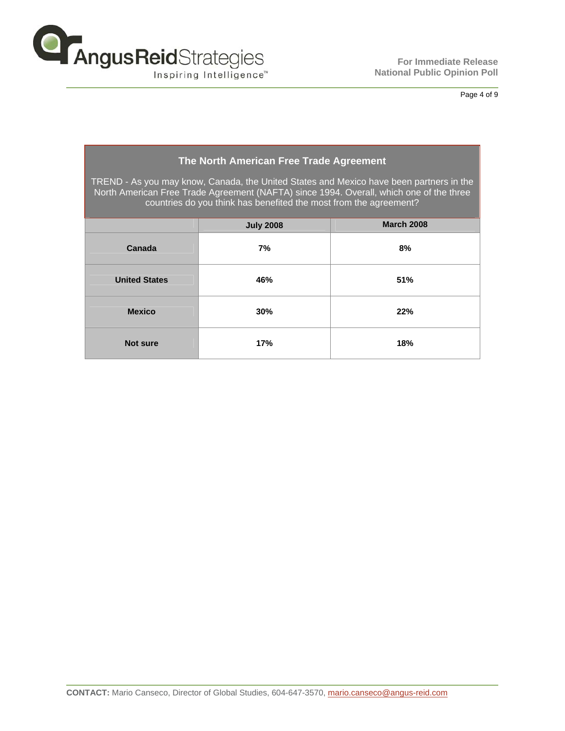

**The Second Second** 

## Page 4 of 9

| The North American Free Trade Agreement                                                                                                                                                                                                                 |                  |                   |  |  |  |  |  |  |
|---------------------------------------------------------------------------------------------------------------------------------------------------------------------------------------------------------------------------------------------------------|------------------|-------------------|--|--|--|--|--|--|
| TREND - As you may know, Canada, the United States and Mexico have been partners in the<br>North American Free Trade Agreement (NAFTA) since 1994. Overall, which one of the three<br>countries do you think has benefited the most from the agreement? |                  |                   |  |  |  |  |  |  |
|                                                                                                                                                                                                                                                         | <b>July 2008</b> | <b>March 2008</b> |  |  |  |  |  |  |
| Canada                                                                                                                                                                                                                                                  | 7%               | 8%                |  |  |  |  |  |  |
| <b>United States</b>                                                                                                                                                                                                                                    | 46%              | <b>51%</b>        |  |  |  |  |  |  |
| <b>Mexico</b>                                                                                                                                                                                                                                           | 30%              | 22%               |  |  |  |  |  |  |
| Not sure                                                                                                                                                                                                                                                | 17%              | 18%               |  |  |  |  |  |  |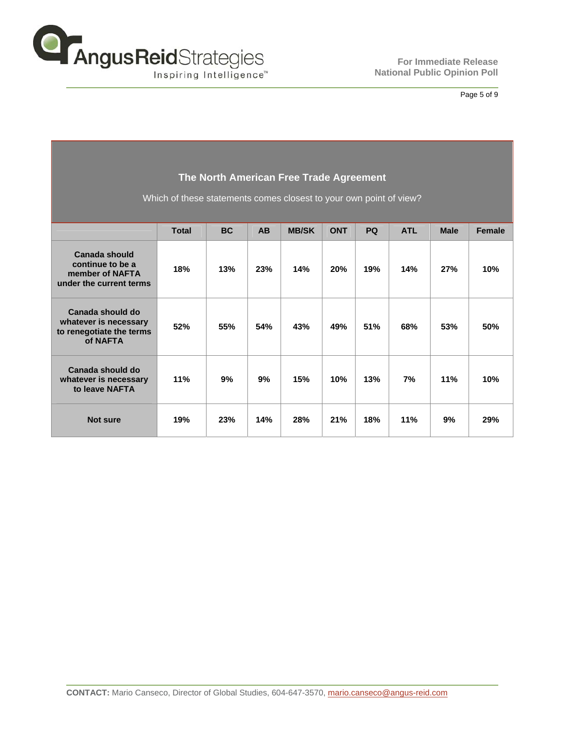

## Page 5 of 9

| The North American Free Trade Agreement |  |
|-----------------------------------------|--|
|-----------------------------------------|--|

Which of these statements comes closest to your own point of view?

|                                                                                   | <b>Total</b> | <b>BC</b> | <b>AB</b> | <b>MB/SK</b> | <b>ONT</b> | PQ  | <b>ATL</b> | <b>Male</b> | <b>Female</b> |
|-----------------------------------------------------------------------------------|--------------|-----------|-----------|--------------|------------|-----|------------|-------------|---------------|
| Canada should<br>continue to be a<br>member of NAFTA<br>under the current terms   | 18%          | 13%       | 23%       | 14%          | 20%        | 19% | 14%        | 27%         | 10%           |
| Canada should do<br>whatever is necessary<br>to renegotiate the terms<br>of NAFTA | 52%          | 55%       | 54%       | 43%          | 49%        | 51% | 68%        | 53%         | 50%           |
| Canada should do<br>whatever is necessary<br>to leave NAFTA                       | 11%          | 9%        | 9%        | 15%          | 10%        | 13% | 7%         | 11%         | 10%           |
| <b>Not sure</b>                                                                   | 19%          | 23%       | 14%       | 28%          | 21%        | 18% | 11%        | 9%          | 29%           |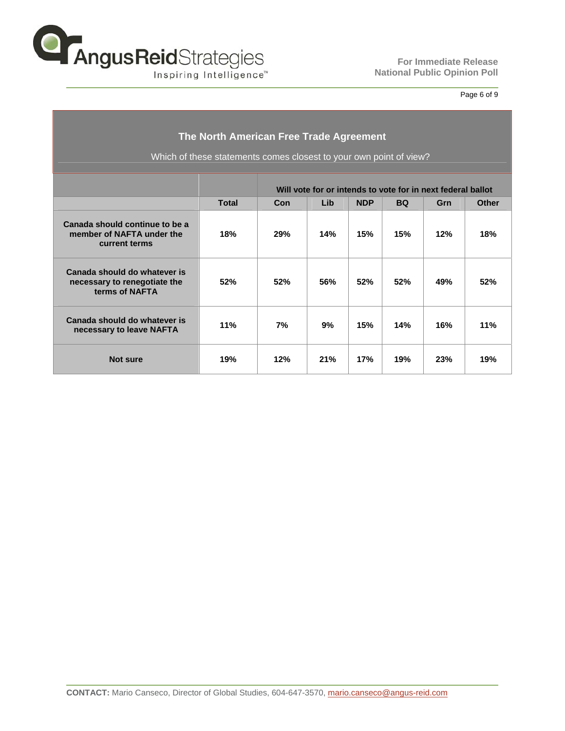

## Page 6 of 9

| The North American Free Trade Agreement<br>Which of these statements comes closest to your own point of view? |              |                                                             |     |            |           |     |              |  |
|---------------------------------------------------------------------------------------------------------------|--------------|-------------------------------------------------------------|-----|------------|-----------|-----|--------------|--|
|                                                                                                               |              | Will vote for or intends to vote for in next federal ballot |     |            |           |     |              |  |
|                                                                                                               | <b>Total</b> | Con                                                         | Lib | <b>NDP</b> | <b>BQ</b> | Grn | <b>Other</b> |  |
| Canada should continue to be a<br>member of NAFTA under the<br>current terms                                  | 18%          | 29%                                                         | 14% | 15%        | 15%       | 12% | 18%          |  |
| Canada should do whatever is<br>necessary to renegotiate the<br>terms of NAFTA                                | 52%          | 52%                                                         | 56% | 52%        | 52%       | 49% | 52%          |  |
| Canada should do whatever is<br>necessary to leave NAFTA                                                      | 11%          | 7%                                                          | 9%  | 15%        | 14%       | 16% | 11%          |  |
| Not sure                                                                                                      | 19%          | 12%                                                         | 21% | 17%        | 19%       | 23% | 19%          |  |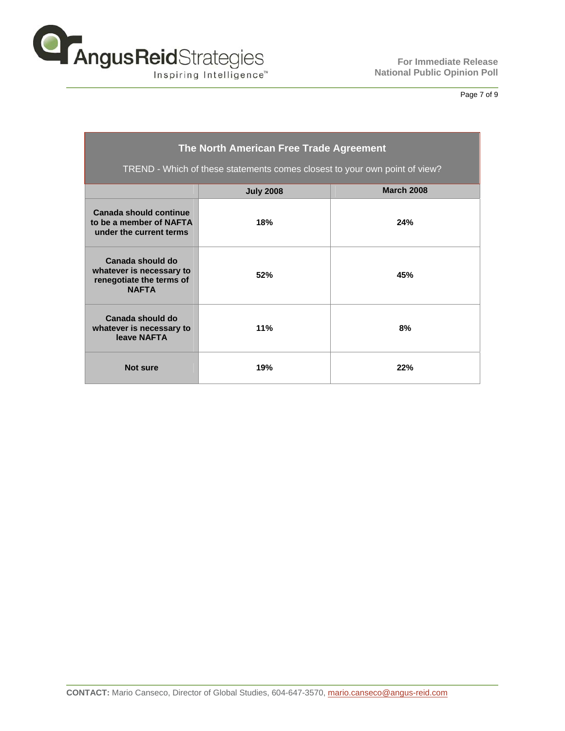

Page 7 of 9

| The North American Free Trade Agreement<br>TREND - Which of these statements comes closest to your own point of view? |                  |                   |  |  |  |  |  |
|-----------------------------------------------------------------------------------------------------------------------|------------------|-------------------|--|--|--|--|--|
|                                                                                                                       | <b>July 2008</b> | <b>March 2008</b> |  |  |  |  |  |
| Canada should continue<br>to be a member of NAFTA<br>under the current terms                                          | 18%              | 24%               |  |  |  |  |  |
| Canada should do<br>whatever is necessary to<br>renegotiate the terms of<br><b>NAFTA</b>                              | 52%              | 45%               |  |  |  |  |  |
| Canada should do<br>whatever is necessary to<br>leave NAFTA                                                           | 11%              | 8%                |  |  |  |  |  |
| <b>Not sure</b>                                                                                                       | 19%              | 22%               |  |  |  |  |  |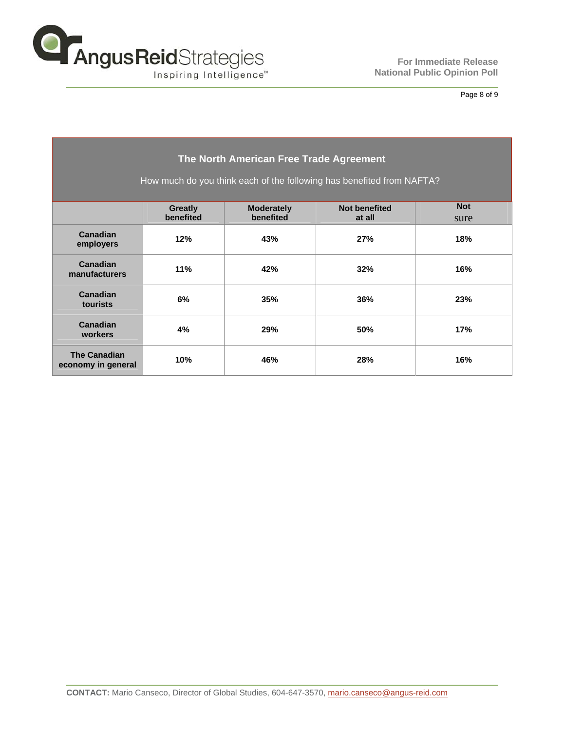

## Page 8 of 9

| The North American Free Trade Agreement                               |                             |                                |                                |                    |  |  |  |
|-----------------------------------------------------------------------|-----------------------------|--------------------------------|--------------------------------|--------------------|--|--|--|
| How much do you think each of the following has benefited from NAFTA? |                             |                                |                                |                    |  |  |  |
|                                                                       |                             |                                |                                |                    |  |  |  |
|                                                                       | <b>Greatly</b><br>benefited | <b>Moderately</b><br>benefited | <b>Not benefited</b><br>at all | <b>Not</b><br>sure |  |  |  |
| Canadian<br>employers                                                 | 12%                         | 43%                            | 27%                            | 18%                |  |  |  |
| Canadian<br>manufacturers                                             | 11%                         | 42%                            | 32%                            | 16%                |  |  |  |
| Canadian<br>tourists                                                  | 6%                          | 35%                            | 36%                            | 23%                |  |  |  |
| Canadian<br>workers                                                   | 4%                          | 29%                            | 50%                            | 17%                |  |  |  |
| <b>The Canadian</b><br>economy in general                             | 10%                         | 46%                            | 28%                            | 16%                |  |  |  |